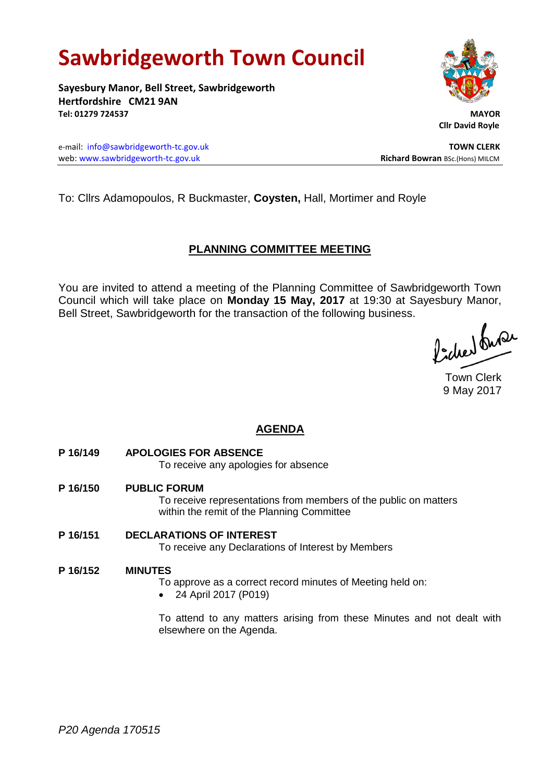# **Sawbridgeworth Town Council**

**Sayesbury Manor, Bell Street, Sawbridgeworth Hertfordshire CM21 9AN Tel: 01279 724537 MAYOR**

e-mail: [info@sawbridgeworth-tc.gov.uk](mailto:info@sawbridgeworth-tc.gov.uk) **TOWN CLERK** web: www.sawbridgeworth-tc.gov.uk **Richard Bowran** BSc.(Hons) MILCM

To: Cllrs Adamopoulos, R Buckmaster, **Coysten,** Hall, Mortimer and Royle

## **PLANNING COMMITTEE MEETING**

You are invited to attend a meeting of the Planning Committee of Sawbridgeworth Town Council which will take place on **Monday 15 May, 2017** at 19:30 at Sayesbury Manor, Bell Street, Sawbridgeworth for the transaction of the following business.

Picked Sura

Town Clerk 9 May 2017

## **AGENDA**

**P 16/149 APOLOGIES FOR ABSENCE**

To receive any apologies for absence

- **P 16/150 PUBLIC FORUM** To receive representations from members of the public on matters within the remit of the Planning Committee
- **P 16/151 DECLARATIONS OF INTEREST** To receive any Declarations of Interest by Members
- **P 16/152 MINUTES**

To approve as a correct record minutes of Meeting held on:

24 April 2017 (P019)

To attend to any matters arising from these Minutes and not dealt with elsewhere on the Agenda.



 **Cllr David Royle**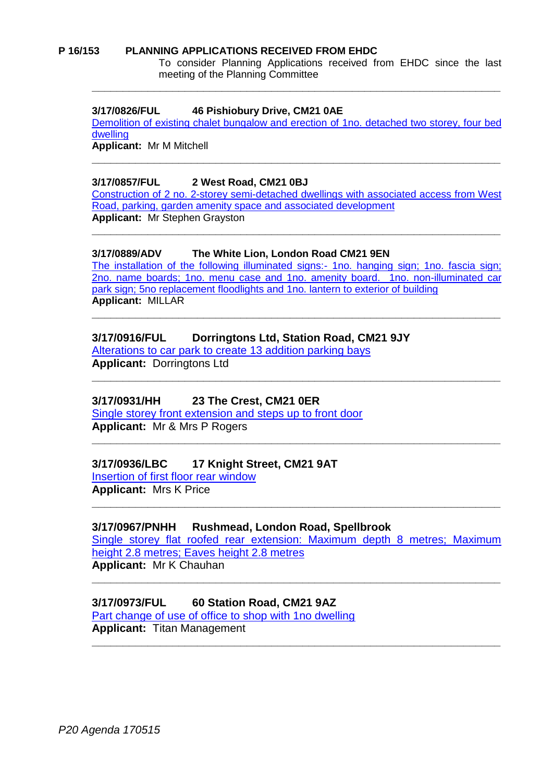#### **P 16/153 PLANNING APPLICATIONS RECEIVED FROM EHDC**

To consider Planning Applications received from EHDC since the last meeting of the Planning Committee

#### **3/17/0826/FUL 46 Pishiobury Drive, CM21 0AE**

[Demolition of existing chalet bungalow and erection](https://publicaccess.eastherts.gov.uk/online-applications/applicationDetails.do?activeTab=summary&keyVal=ONU5Y5GL00X00) of 1no. detached two storey, four bed [dwelling](https://publicaccess.eastherts.gov.uk/online-applications/applicationDetails.do?activeTab=summary&keyVal=ONU5Y5GL00X00)

**\_\_\_\_\_\_\_\_\_\_\_\_\_\_\_\_\_\_\_\_\_\_\_\_\_\_\_\_\_\_\_\_\_\_\_\_\_\_\_\_\_\_\_\_\_\_\_\_\_\_\_\_\_\_\_\_\_\_\_\_\_\_\_\_\_\_**

**\_\_\_\_\_\_\_\_\_\_\_\_\_\_\_\_\_\_\_\_\_\_\_\_\_\_\_\_\_\_\_\_\_\_\_\_\_\_\_\_\_\_\_\_\_\_\_\_\_\_\_\_\_\_\_\_\_\_\_\_\_\_\_\_\_\_**

**Applicant:** Mr M Mitchell

#### **3/17/0857/FUL 2 West Road, CM21 0BJ**

[Construction of 2 no. 2-storey semi-detached dwellings with associated access from West](https://publicaccess.eastherts.gov.uk/online-applications/applicationDetails.do?activeTab=summary&keyVal=OO1DCBGLGCI00)  [Road, parking, garden amenity space and associated development](https://publicaccess.eastherts.gov.uk/online-applications/applicationDetails.do?activeTab=summary&keyVal=OO1DCBGLGCI00) **Applicant:** Mr Stephen Grayston

**\_\_\_\_\_\_\_\_\_\_\_\_\_\_\_\_\_\_\_\_\_\_\_\_\_\_\_\_\_\_\_\_\_\_\_\_\_\_\_\_\_\_\_\_\_\_\_\_\_\_\_\_\_\_\_\_\_\_\_\_\_\_\_\_\_\_**

#### **3/17/0889/ADV The White Lion, London Road CM21 9EN**

[The installation of the following illuminated signs:-](https://publicaccess.eastherts.gov.uk/online-applications/applicationDetails.do?activeTab=summary&keyVal=OO8GTRGLGE400) 1no. hanging sign; 1no. fascia sign; [2no. name boards; 1no. menu case and 1no. amenity board. 1no. non-illuminated car](https://publicaccess.eastherts.gov.uk/online-applications/applicationDetails.do?activeTab=summary&keyVal=OO8GTRGLGE400)  [park sign; 5no replacement floodlights and 1no. lantern to exterior of building](https://publicaccess.eastherts.gov.uk/online-applications/applicationDetails.do?activeTab=summary&keyVal=OO8GTRGLGE400) **Applicant:** MILLAR

**\_\_\_\_\_\_\_\_\_\_\_\_\_\_\_\_\_\_\_\_\_\_\_\_\_\_\_\_\_\_\_\_\_\_\_\_\_\_\_\_\_\_\_\_\_\_\_\_\_\_\_\_\_\_\_\_\_\_\_\_\_\_\_\_\_\_**

**\_\_\_\_\_\_\_\_\_\_\_\_\_\_\_\_\_\_\_\_\_\_\_\_\_\_\_\_\_\_\_\_\_\_\_\_\_\_\_\_\_\_\_\_\_\_\_\_\_\_\_\_\_\_\_\_\_\_\_\_\_\_\_\_\_\_**

**\_\_\_\_\_\_\_\_\_\_\_\_\_\_\_\_\_\_\_\_\_\_\_\_\_\_\_\_\_\_\_\_\_\_\_\_\_\_\_\_\_\_\_\_\_\_\_\_\_\_\_\_\_\_\_\_\_\_\_\_\_\_\_\_\_\_**

#### **3/17/0916/FUL Dorringtons Ltd, Station Road, CM21 9JY**

[Alterations to car park to create 13 addition parking bays](https://publicaccess.eastherts.gov.uk/online-applications/applicationDetails.do?activeTab=summary&keyVal=OOCSE3GLGFA00) **Applicant:** Dorringtons Ltd

#### **3/17/0931/HH 23 The Crest, CM21 0ER**

[Single storey front extension and steps up to front door](https://publicaccess.eastherts.gov.uk/online-applications/applicationDetails.do?activeTab=summary&keyVal=OONA76GLGGH00) **Applicant:** Mr & Mrs P Rogers

#### **3/17/0936/LBC 17 Knight Street, CM21 9AT**

[Insertion of first floor rear window](https://publicaccess.eastherts.gov.uk/online-applications/applicationDetails.do?activeTab=summary&keyVal=OONWGNGLGGV00) **Applicant:** Mrs K Price

#### **3/17/0967/PNHH Rushmead, London Road, Spellbrook**

[Single storey flat roofed rear extension: Maximum depth 8 metres; Maximum](https://publicaccess.eastherts.gov.uk/online-applications/applicationDetails.do?activeTab=summary&keyVal=OOX1ECGL00X00)  [height 2.8 metres; Eaves height 2.8 metres](https://publicaccess.eastherts.gov.uk/online-applications/applicationDetails.do?activeTab=summary&keyVal=OOX1ECGL00X00) **Applicant:** Mr K Chauhan

**\_\_\_\_\_\_\_\_\_\_\_\_\_\_\_\_\_\_\_\_\_\_\_\_\_\_\_\_\_\_\_\_\_\_\_\_\_\_\_\_\_\_\_\_\_\_\_\_\_\_\_\_\_\_\_\_\_\_\_\_\_\_\_\_\_\_**

**\_\_\_\_\_\_\_\_\_\_\_\_\_\_\_\_\_\_\_\_\_\_\_\_\_\_\_\_\_\_\_\_\_\_\_\_\_\_\_\_\_\_\_\_\_\_\_\_\_\_\_\_\_\_\_\_\_\_\_\_\_\_\_\_\_\_**

**\_\_\_\_\_\_\_\_\_\_\_\_\_\_\_\_\_\_\_\_\_\_\_\_\_\_\_\_\_\_\_\_\_\_\_\_\_\_\_\_\_\_\_\_\_\_\_\_\_\_\_\_\_\_\_\_\_\_\_\_\_\_\_\_\_\_**

## **3/17/0973/FUL 60 Station Road, CM21 9AZ**

[Part change of use of office to shop with 1no dwelling](https://publicaccess.eastherts.gov.uk/online-applications/applicationDetails.do?activeTab=summary&keyVal=OOX38MGL00X00) **Applicant:** Titan Management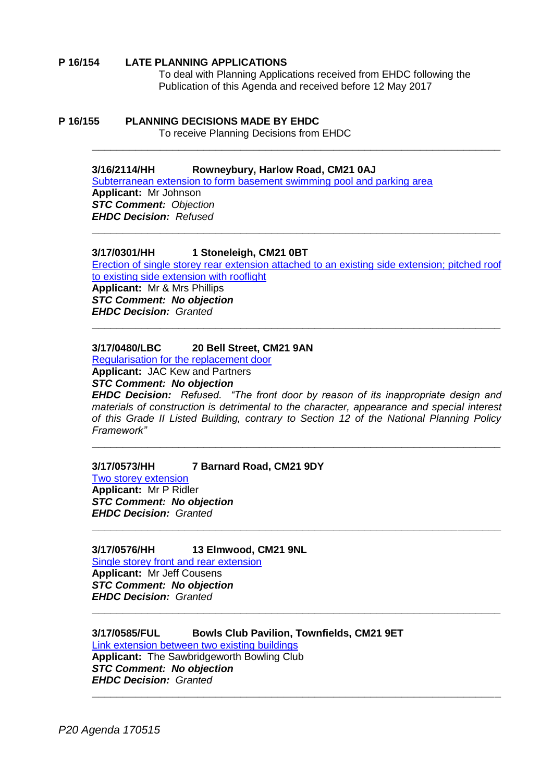#### **P 16/154 LATE PLANNING APPLICATIONS**

To deal with Planning Applications received from EHDC following the Publication of this Agenda and received before 12 May 2017

## **P 16/155 PLANNING DECISIONS MADE BY EHDC**

To receive Planning Decisions from EHDC

#### **3/16/2114/HH Rowneybury, Harlow Road, CM21 0AJ**

[Subterranean extension to form basement swimming pool and parking area](https://publicaccess.eastherts.gov.uk/online-applications/applicationDetails.do?activeTab=summary&keyVal=ODL4TUGLLG600) **Applicant:** Mr Johnson *STC Comment: Objection EHDC Decision: Refused*

#### **3/17/0301/HH 1 Stoneleigh, CM21 0BT**

[Erection of single storey rear extension attached](https://publicaccess.eastherts.gov.uk/online-applications/applicationDetails.do?activeTab=summary&keyVal=OL1Q8WGLFHO00) to an existing side extension; pitched roof [to existing side extension with rooflight](https://publicaccess.eastherts.gov.uk/online-applications/applicationDetails.do?activeTab=summary&keyVal=OL1Q8WGLFHO00)

**\_\_\_\_\_\_\_\_\_\_\_\_\_\_\_\_\_\_\_\_\_\_\_\_\_\_\_\_\_\_\_\_\_\_\_\_\_\_\_\_\_\_\_\_\_\_\_\_\_\_\_\_\_\_\_\_\_\_\_\_\_\_\_\_\_\_**

**\_\_\_\_\_\_\_\_\_\_\_\_\_\_\_\_\_\_\_\_\_\_\_\_\_\_\_\_\_\_\_\_\_\_\_\_\_\_\_\_\_\_\_\_\_\_\_\_\_\_\_\_\_\_\_\_\_\_\_\_\_\_\_\_\_\_**

**\_\_\_\_\_\_\_\_\_\_\_\_\_\_\_\_\_\_\_\_\_\_\_\_\_\_\_\_\_\_\_\_\_\_\_\_\_\_\_\_\_\_\_\_\_\_\_\_\_\_\_\_\_\_\_\_\_\_\_\_\_\_\_\_\_\_**

**Applicant:** Mr & Mrs Phillips *STC Comment: No objection EHDC Decision: Granted*

#### **3/17/0480/LBC 20 Bell Street, CM21 9AN**

[Regularisation for the replacement door](https://publicaccess.eastherts.gov.uk/online-applications/applicationDetails.do?activeTab=summary&keyVal=OLVPA5GL00B00) **Applicant:** JAC Kew and Partners

*STC Comment: No objection*

*EHDC Decision: Refused. "The front door by reason of its inappropriate design and materials of construction is detrimental to the character, appearance and special interest of this Grade II Listed Building, contrary to Section 12 of the National Planning Policy Framework"*

**\_\_\_\_\_\_\_\_\_\_\_\_\_\_\_\_\_\_\_\_\_\_\_\_\_\_\_\_\_\_\_\_\_\_\_\_\_\_\_\_\_\_\_\_\_\_\_\_\_\_\_\_\_\_\_\_\_\_\_\_\_\_\_\_\_\_**

**\_\_\_\_\_\_\_\_\_\_\_\_\_\_\_\_\_\_\_\_\_\_\_\_\_\_\_\_\_\_\_\_\_\_\_\_\_\_\_\_\_\_\_\_\_\_\_\_\_\_\_\_\_\_\_\_\_\_\_\_\_\_\_\_\_\_**

**\_\_\_\_\_\_\_\_\_\_\_\_\_\_\_\_\_\_\_\_\_\_\_\_\_\_\_\_\_\_\_\_\_\_\_\_\_\_\_\_\_\_\_\_\_\_\_\_\_\_\_\_\_\_\_\_\_\_\_\_\_\_\_\_\_\_**

**\_\_\_\_\_\_\_\_\_\_\_\_\_\_\_\_\_\_\_\_\_\_\_\_\_\_\_\_\_\_\_\_\_\_\_\_\_\_\_\_\_\_\_\_\_\_\_\_\_\_\_\_\_\_\_\_\_\_\_\_\_\_\_\_\_\_**

#### **3/17/0573/HH 7 Barnard Road, CM21 9DY**

[Two storey extension](https://publicaccess.eastherts.gov.uk/online-applications/applicationDetails.do?activeTab=summary&keyVal=OMG0R1GL00X00) **Applicant:** Mr P Ridler *STC Comment: No objection EHDC Decision: Granted*

#### **3/17/0576/HH 13 Elmwood, CM21 9NL**

[Single storey front and rear extension](https://publicaccess.eastherts.gov.uk/online-applications/applicationDetails.do?activeTab=summary&keyVal=OMGCJ5GLFWD00) **Applicant:** Mr Jeff Cousens *STC Comment: No objection EHDC Decision: Granted*

#### **3/17/0585/FUL Bowls Club Pavilion, Townfields, CM21 9ET**

[Link extension between two existing buildings](https://publicaccess.eastherts.gov.uk/online-applications/applicationDetails.do?activeTab=summary&keyVal=OMHW2FGLFWZ00) **Applicant:** The Sawbridgeworth Bowling Club *STC Comment: No objection EHDC Decision: Granted*